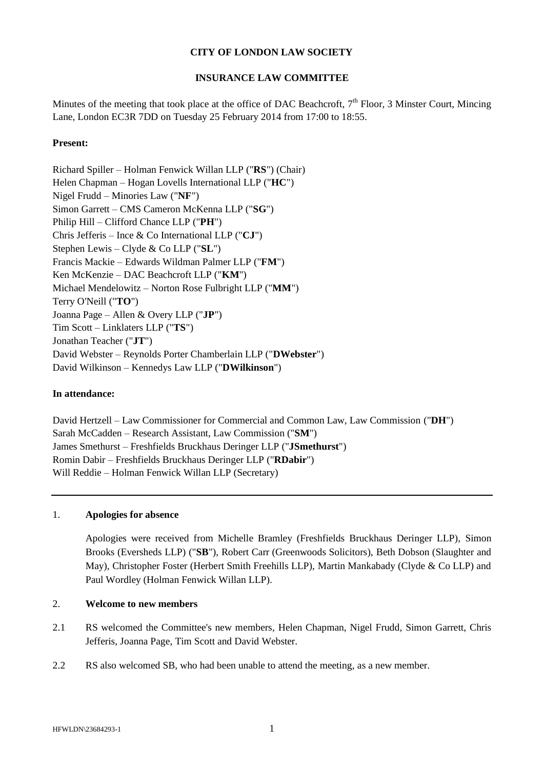### **CITY OF LONDON LAW SOCIETY**

# **INSURANCE LAW COMMITTEE**

Minutes of the meeting that took place at the office of DAC Beachcroft,  $7<sup>th</sup>$  Floor, 3 Minster Court, Mincing Lane, London EC3R 7DD on Tuesday 25 February 2014 from 17:00 to 18:55.

### **Present:**

Richard Spiller – Holman Fenwick Willan LLP ("**RS**") (Chair) Helen Chapman – Hogan Lovells International LLP ("**HC**") Nigel Frudd – Minories Law ("**NF**") Simon Garrett – CMS Cameron McKenna LLP ("**SG**") Philip Hill – Clifford Chance LLP ("**PH**") Chris Jefferis – Ince & Co International LLP ("**CJ**") Stephen Lewis – Clyde & Co LLP ("**SL**") Francis Mackie – Edwards Wildman Palmer LLP ("**FM**") Ken McKenzie – DAC Beachcroft LLP ("**KM**") Michael Mendelowitz – Norton Rose Fulbright LLP ("**MM**") Terry O'Neill ("**TO**") Joanna Page – Allen & Overy LLP ("**JP**") Tim Scott – Linklaters LLP ("**TS**") Jonathan Teacher ("**JT**") David Webster – Reynolds Porter Chamberlain LLP ("**DWebster**") David Wilkinson – Kennedys Law LLP ("**DWilkinson**")

#### **In attendance:**

David Hertzell – Law Commissioner for Commercial and Common Law, Law Commission ("**DH**") Sarah McCadden – Research Assistant, Law Commission ("**SM**") James Smethurst – Freshfields Bruckhaus Deringer LLP ("**JSmethurst**") Romin Dabir – Freshfields Bruckhaus Deringer LLP ("**RDabir**") Will Reddie – Holman Fenwick Willan LLP (Secretary)

### 1. **Apologies for absence**

Apologies were received from Michelle Bramley (Freshfields Bruckhaus Deringer LLP), Simon Brooks (Eversheds LLP) ("**SB**"), Robert Carr (Greenwoods Solicitors), Beth Dobson (Slaughter and May), Christopher Foster (Herbert Smith Freehills LLP), Martin Mankabady (Clyde & Co LLP) and Paul Wordley (Holman Fenwick Willan LLP).

#### 2. **Welcome to new members**

- 2.1 RS welcomed the Committee's new members, Helen Chapman, Nigel Frudd, Simon Garrett, Chris Jefferis, Joanna Page, Tim Scott and David Webster.
- 2.2 RS also welcomed SB, who had been unable to attend the meeting, as a new member.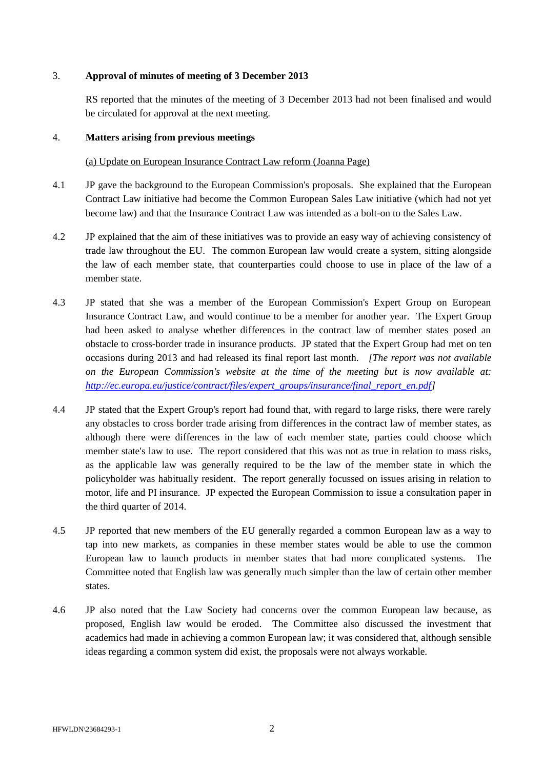### 3. **Approval of minutes of meeting of 3 December 2013**

RS reported that the minutes of the meeting of 3 December 2013 had not been finalised and would be circulated for approval at the next meeting.

### 4. **Matters arising from previous meetings**

### (a) Update on European Insurance Contract Law reform (Joanna Page)

- 4.1 JP gave the background to the European Commission's proposals. She explained that the European Contract Law initiative had become the Common European Sales Law initiative (which had not yet become law) and that the Insurance Contract Law was intended as a bolt-on to the Sales Law.
- 4.2 JP explained that the aim of these initiatives was to provide an easy way of achieving consistency of trade law throughout the EU. The common European law would create a system, sitting alongside the law of each member state, that counterparties could choose to use in place of the law of a member state.
- 4.3 JP stated that she was a member of the European Commission's Expert Group on European Insurance Contract Law, and would continue to be a member for another year. The Expert Group had been asked to analyse whether differences in the contract law of member states posed an obstacle to cross-border trade in insurance products. JP stated that the Expert Group had met on ten occasions during 2013 and had released its final report last month. *[The report was not available on the European Commission's website at the time of the meeting but is now available at: [http://ec.europa.eu/justice/contract/files/expert\\_groups/insurance/final\\_report\\_en.pdf\]](http://ec.europa.eu/justice/contract/files/expert_groups/insurance/final_report_en.pdf)*
- 4.4 JP stated that the Expert Group's report had found that, with regard to large risks, there were rarely any obstacles to cross border trade arising from differences in the contract law of member states, as although there were differences in the law of each member state, parties could choose which member state's law to use. The report considered that this was not as true in relation to mass risks, as the applicable law was generally required to be the law of the member state in which the policyholder was habitually resident. The report generally focussed on issues arising in relation to motor, life and PI insurance. JP expected the European Commission to issue a consultation paper in the third quarter of 2014.
- 4.5 JP reported that new members of the EU generally regarded a common European law as a way to tap into new markets, as companies in these member states would be able to use the common European law to launch products in member states that had more complicated systems. The Committee noted that English law was generally much simpler than the law of certain other member states.
- 4.6 JP also noted that the Law Society had concerns over the common European law because, as proposed, English law would be eroded. The Committee also discussed the investment that academics had made in achieving a common European law; it was considered that, although sensible ideas regarding a common system did exist, the proposals were not always workable.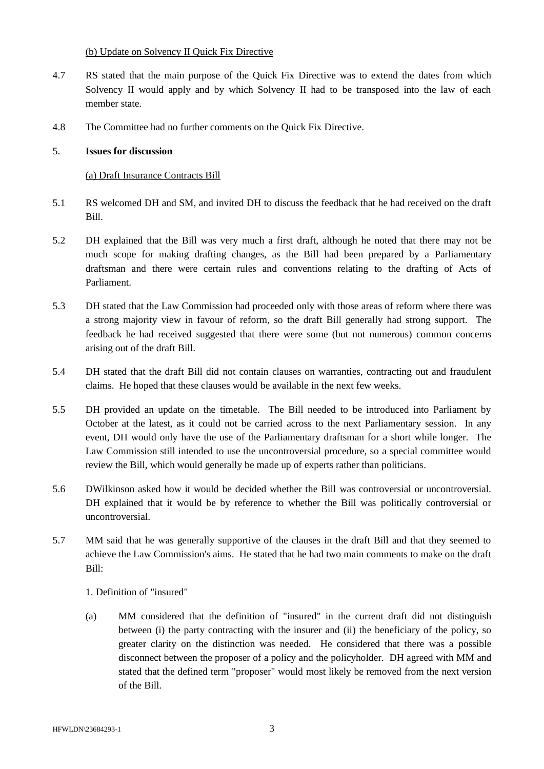### (b) Update on Solvency II Quick Fix Directive

- 4.7 RS stated that the main purpose of the Quick Fix Directive was to extend the dates from which Solvency II would apply and by which Solvency II had to be transposed into the law of each member state.
- 4.8 The Committee had no further comments on the Quick Fix Directive.

# 5. **Issues for discussion**

# (a) Draft Insurance Contracts Bill

- 5.1 RS welcomed DH and SM, and invited DH to discuss the feedback that he had received on the draft Bill.
- 5.2 DH explained that the Bill was very much a first draft, although he noted that there may not be much scope for making drafting changes, as the Bill had been prepared by a Parliamentary draftsman and there were certain rules and conventions relating to the drafting of Acts of Parliament.
- 5.3 DH stated that the Law Commission had proceeded only with those areas of reform where there was a strong majority view in favour of reform, so the draft Bill generally had strong support. The feedback he had received suggested that there were some (but not numerous) common concerns arising out of the draft Bill.
- 5.4 DH stated that the draft Bill did not contain clauses on warranties, contracting out and fraudulent claims. He hoped that these clauses would be available in the next few weeks.
- 5.5 DH provided an update on the timetable. The Bill needed to be introduced into Parliament by October at the latest, as it could not be carried across to the next Parliamentary session. In any event, DH would only have the use of the Parliamentary draftsman for a short while longer. The Law Commission still intended to use the uncontroversial procedure, so a special committee would review the Bill, which would generally be made up of experts rather than politicians.
- 5.6 DWilkinson asked how it would be decided whether the Bill was controversial or uncontroversial. DH explained that it would be by reference to whether the Bill was politically controversial or uncontroversial.
- 5.7 MM said that he was generally supportive of the clauses in the draft Bill and that they seemed to achieve the Law Commission's aims. He stated that he had two main comments to make on the draft Bill:

### 1. Definition of "insured"

(a) MM considered that the definition of "insured" in the current draft did not distinguish between (i) the party contracting with the insurer and (ii) the beneficiary of the policy, so greater clarity on the distinction was needed. He considered that there was a possible disconnect between the proposer of a policy and the policyholder. DH agreed with MM and stated that the defined term "proposer" would most likely be removed from the next version of the Bill.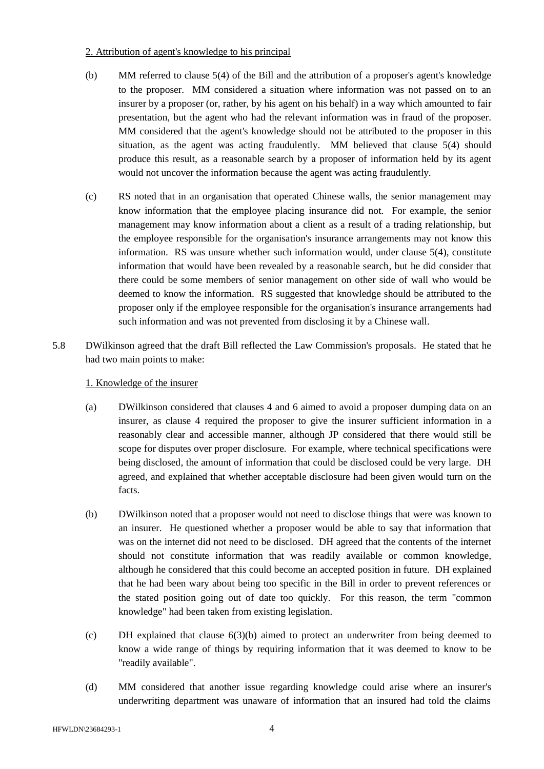### 2. Attribution of agent's knowledge to his principal

- (b) MM referred to clause 5(4) of the Bill and the attribution of a proposer's agent's knowledge to the proposer. MM considered a situation where information was not passed on to an insurer by a proposer (or, rather, by his agent on his behalf) in a way which amounted to fair presentation, but the agent who had the relevant information was in fraud of the proposer. MM considered that the agent's knowledge should not be attributed to the proposer in this situation, as the agent was acting fraudulently. MM believed that clause 5(4) should produce this result, as a reasonable search by a proposer of information held by its agent would not uncover the information because the agent was acting fraudulently.
- (c) RS noted that in an organisation that operated Chinese walls, the senior management may know information that the employee placing insurance did not. For example, the senior management may know information about a client as a result of a trading relationship, but the employee responsible for the organisation's insurance arrangements may not know this information. RS was unsure whether such information would, under clause 5(4), constitute information that would have been revealed by a reasonable search, but he did consider that there could be some members of senior management on other side of wall who would be deemed to know the information. RS suggested that knowledge should be attributed to the proposer only if the employee responsible for the organisation's insurance arrangements had such information and was not prevented from disclosing it by a Chinese wall.
- 5.8 DWilkinson agreed that the draft Bill reflected the Law Commission's proposals. He stated that he had two main points to make:

# 1. Knowledge of the insurer

- (a) DWilkinson considered that clauses 4 and 6 aimed to avoid a proposer dumping data on an insurer, as clause 4 required the proposer to give the insurer sufficient information in a reasonably clear and accessible manner, although JP considered that there would still be scope for disputes over proper disclosure. For example, where technical specifications were being disclosed, the amount of information that could be disclosed could be very large. DH agreed, and explained that whether acceptable disclosure had been given would turn on the facts.
- (b) DWilkinson noted that a proposer would not need to disclose things that were was known to an insurer. He questioned whether a proposer would be able to say that information that was on the internet did not need to be disclosed. DH agreed that the contents of the internet should not constitute information that was readily available or common knowledge, although he considered that this could become an accepted position in future. DH explained that he had been wary about being too specific in the Bill in order to prevent references or the stated position going out of date too quickly. For this reason, the term "common knowledge" had been taken from existing legislation.
- (c) DH explained that clause 6(3)(b) aimed to protect an underwriter from being deemed to know a wide range of things by requiring information that it was deemed to know to be "readily available".
- (d) MM considered that another issue regarding knowledge could arise where an insurer's underwriting department was unaware of information that an insured had told the claims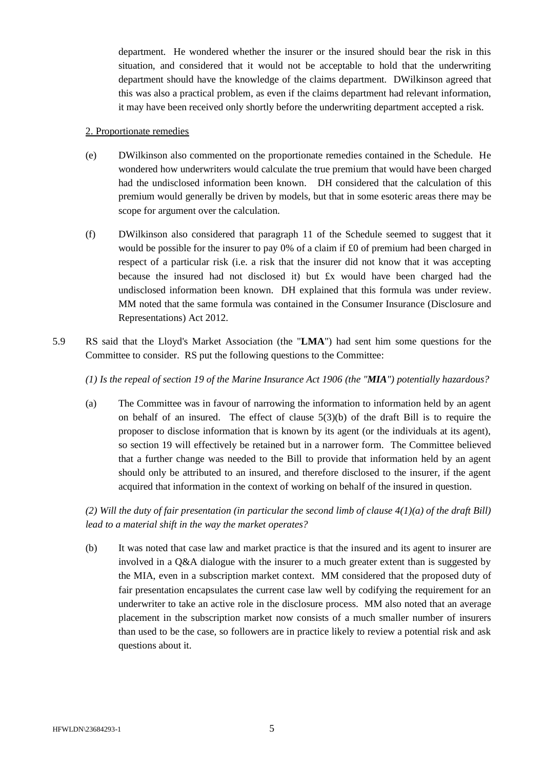department. He wondered whether the insurer or the insured should bear the risk in this situation, and considered that it would not be acceptable to hold that the underwriting department should have the knowledge of the claims department. DWilkinson agreed that this was also a practical problem, as even if the claims department had relevant information, it may have been received only shortly before the underwriting department accepted a risk.

#### 2. Proportionate remedies

- (e) DWilkinson also commented on the proportionate remedies contained in the Schedule. He wondered how underwriters would calculate the true premium that would have been charged had the undisclosed information been known. DH considered that the calculation of this premium would generally be driven by models, but that in some esoteric areas there may be scope for argument over the calculation.
- (f) DWilkinson also considered that paragraph 11 of the Schedule seemed to suggest that it would be possible for the insurer to pay 0% of a claim if £0 of premium had been charged in respect of a particular risk (i.e. a risk that the insurer did not know that it was accepting because the insured had not disclosed it) but £x would have been charged had the undisclosed information been known. DH explained that this formula was under review. MM noted that the same formula was contained in the Consumer Insurance (Disclosure and Representations) Act 2012.
- 5.9 RS said that the Lloyd's Market Association (the "**LMA**") had sent him some questions for the Committee to consider. RS put the following questions to the Committee:

*(1) Is the repeal of section 19 of the Marine Insurance Act 1906 (the "MIA") potentially hazardous?*

(a) The Committee was in favour of narrowing the information to information held by an agent on behalf of an insured. The effect of clause  $5(3)(b)$  of the draft Bill is to require the proposer to disclose information that is known by its agent (or the individuals at its agent), so section 19 will effectively be retained but in a narrower form. The Committee believed that a further change was needed to the Bill to provide that information held by an agent should only be attributed to an insured, and therefore disclosed to the insurer, if the agent acquired that information in the context of working on behalf of the insured in question.

*(2) Will the duty of fair presentation (in particular the second limb of clause 4(1)(a) of the draft Bill) lead to a material shift in the way the market operates?*

(b) It was noted that case law and market practice is that the insured and its agent to insurer are involved in a Q&A dialogue with the insurer to a much greater extent than is suggested by the MIA, even in a subscription market context. MM considered that the proposed duty of fair presentation encapsulates the current case law well by codifying the requirement for an underwriter to take an active role in the disclosure process. MM also noted that an average placement in the subscription market now consists of a much smaller number of insurers than used to be the case, so followers are in practice likely to review a potential risk and ask questions about it.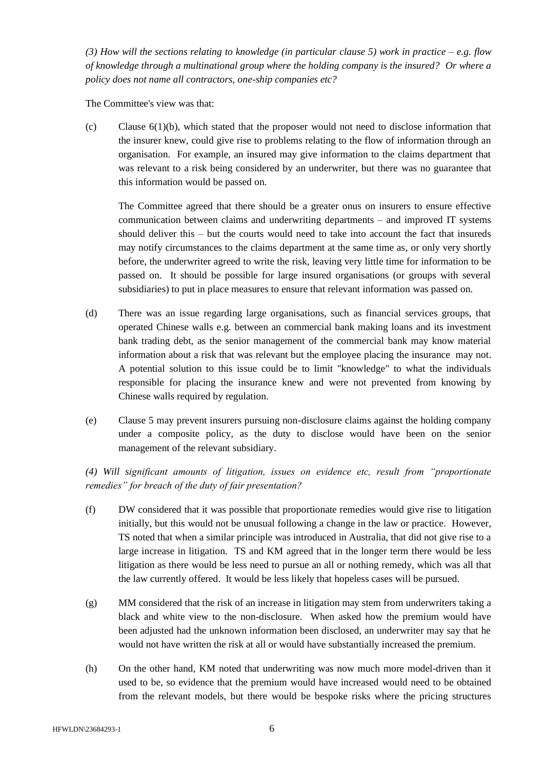*(3) How will the sections relating to knowledge (in particular clause 5) work in practice – e.g. flow of knowledge through a multinational group where the holding company is the insured? Or where a policy does not name all contractors, one-ship companies etc?* 

The Committee's view was that:

(c) Clause 6(1)(b), which stated that the proposer would not need to disclose information that the insurer knew, could give rise to problems relating to the flow of information through an organisation. For example, an insured may give information to the claims department that was relevant to a risk being considered by an underwriter, but there was no guarantee that this information would be passed on.

The Committee agreed that there should be a greater onus on insurers to ensure effective communication between claims and underwriting departments – and improved IT systems should deliver this – but the courts would need to take into account the fact that insureds may notify circumstances to the claims department at the same time as, or only very shortly before, the underwriter agreed to write the risk, leaving very little time for information to be passed on. It should be possible for large insured organisations (or groups with several subsidiaries) to put in place measures to ensure that relevant information was passed on.

- (d) There was an issue regarding large organisations, such as financial services groups, that operated Chinese walls e.g. between an commercial bank making loans and its investment bank trading debt, as the senior management of the commercial bank may know material information about a risk that was relevant but the employee placing the insurance may not. A potential solution to this issue could be to limit "knowledge" to what the individuals responsible for placing the insurance knew and were not prevented from knowing by Chinese walls required by regulation.
- (e) Clause 5 may prevent insurers pursuing non-disclosure claims against the holding company under a composite policy, as the duty to disclose would have been on the senior management of the relevant subsidiary.

*(4) Will significant amounts of litigation, issues on evidence etc, result from "proportionate remedies" for breach of the duty of fair presentation?*

- (f) DW considered that it was possible that proportionate remedies would give rise to litigation initially, but this would not be unusual following a change in the law or practice. However, TS noted that when a similar principle was introduced in Australia, that did not give rise to a large increase in litigation. TS and KM agreed that in the longer term there would be less litigation as there would be less need to pursue an all or nothing remedy, which was all that the law currently offered. It would be less likely that hopeless cases will be pursued.
- (g) MM considered that the risk of an increase in litigation may stem from underwriters taking a black and white view to the non-disclosure. When asked how the premium would have been adjusted had the unknown information been disclosed, an underwriter may say that he would not have written the risk at all or would have substantially increased the premium.
- (h) On the other hand, KM noted that underwriting was now much more model-driven than it used to be, so evidence that the premium would have increased would need to be obtained from the relevant models, but there would be bespoke risks where the pricing structures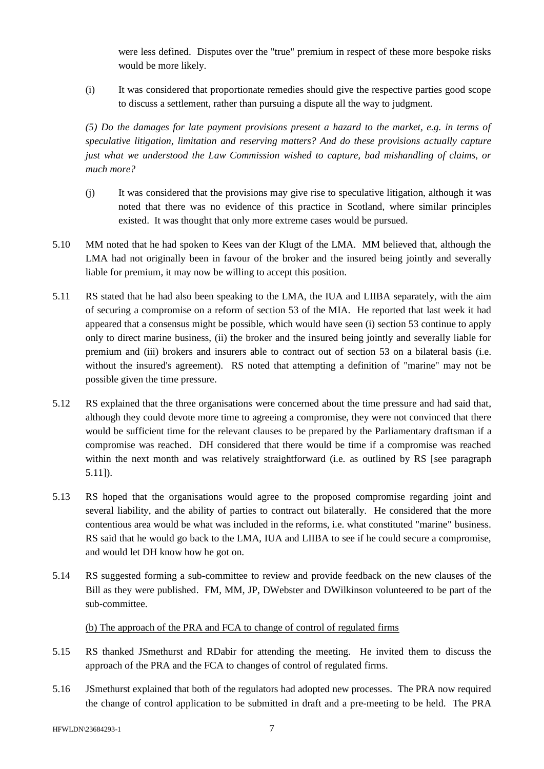were less defined. Disputes over the "true" premium in respect of these more bespoke risks would be more likely.

(i) It was considered that proportionate remedies should give the respective parties good scope to discuss a settlement, rather than pursuing a dispute all the way to judgment.

*(5) Do the damages for late payment provisions present a hazard to the market, e.g. in terms of speculative litigation, limitation and reserving matters? And do these provisions actually capture just what we understood the Law Commission wished to capture, bad mishandling of claims, or much more?* 

- (j) It was considered that the provisions may give rise to speculative litigation, although it was noted that there was no evidence of this practice in Scotland, where similar principles existed. It was thought that only more extreme cases would be pursued.
- 5.10 MM noted that he had spoken to Kees van der Klugt of the LMA. MM believed that, although the LMA had not originally been in favour of the broker and the insured being jointly and severally liable for premium, it may now be willing to accept this position.
- <span id="page-6-0"></span>5.11 RS stated that he had also been speaking to the LMA, the IUA and LIIBA separately, with the aim of securing a compromise on a reform of section 53 of the MIA. He reported that last week it had appeared that a consensus might be possible, which would have seen (i) section 53 continue to apply only to direct marine business, (ii) the broker and the insured being jointly and severally liable for premium and (iii) brokers and insurers able to contract out of section 53 on a bilateral basis (i.e. without the insured's agreement). RS noted that attempting a definition of "marine" may not be possible given the time pressure.
- 5.12 RS explained that the three organisations were concerned about the time pressure and had said that, although they could devote more time to agreeing a compromise, they were not convinced that there would be sufficient time for the relevant clauses to be prepared by the Parliamentary draftsman if a compromise was reached. DH considered that there would be time if a compromise was reached within the next month and was relatively straightforward (i.e. as outlined by RS [see paragraph [5.11\]](#page-6-0)).
- 5.13 RS hoped that the organisations would agree to the proposed compromise regarding joint and several liability, and the ability of parties to contract out bilaterally. He considered that the more contentious area would be what was included in the reforms, i.e. what constituted "marine" business. RS said that he would go back to the LMA, IUA and LIIBA to see if he could secure a compromise, and would let DH know how he got on.
- 5.14 RS suggested forming a sub-committee to review and provide feedback on the new clauses of the Bill as they were published. FM, MM, JP, DWebster and DWilkinson volunteered to be part of the sub-committee.

(b) The approach of the PRA and FCA to change of control of regulated firms

- 5.15 RS thanked JSmethurst and RDabir for attending the meeting. He invited them to discuss the approach of the PRA and the FCA to changes of control of regulated firms.
- 5.16 JSmethurst explained that both of the regulators had adopted new processes. The PRA now required the change of control application to be submitted in draft and a pre-meeting to be held. The PRA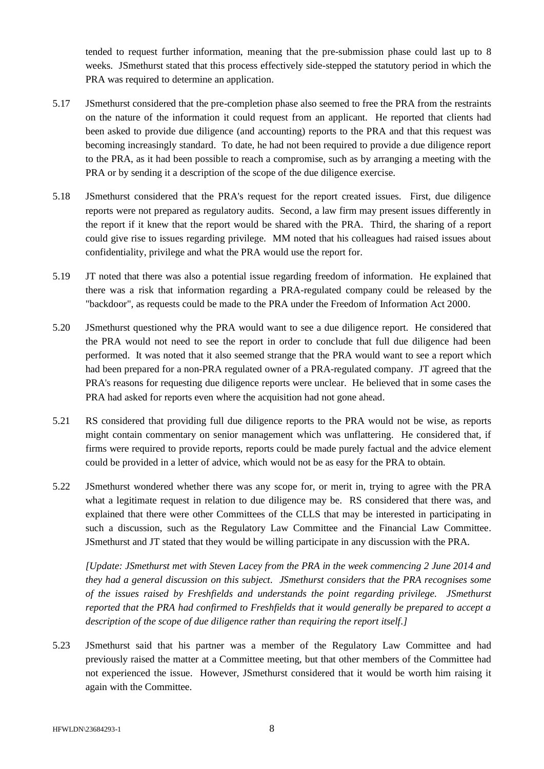tended to request further information, meaning that the pre-submission phase could last up to 8 weeks. JSmethurst stated that this process effectively side-stepped the statutory period in which the PRA was required to determine an application.

- 5.17 JSmethurst considered that the pre-completion phase also seemed to free the PRA from the restraints on the nature of the information it could request from an applicant. He reported that clients had been asked to provide due diligence (and accounting) reports to the PRA and that this request was becoming increasingly standard. To date, he had not been required to provide a due diligence report to the PRA, as it had been possible to reach a compromise, such as by arranging a meeting with the PRA or by sending it a description of the scope of the due diligence exercise.
- 5.18 JSmethurst considered that the PRA's request for the report created issues. First, due diligence reports were not prepared as regulatory audits. Second, a law firm may present issues differently in the report if it knew that the report would be shared with the PRA. Third, the sharing of a report could give rise to issues regarding privilege. MM noted that his colleagues had raised issues about confidentiality, privilege and what the PRA would use the report for.
- 5.19 JT noted that there was also a potential issue regarding freedom of information. He explained that there was a risk that information regarding a PRA-regulated company could be released by the "backdoor", as requests could be made to the PRA under the Freedom of Information Act 2000.
- 5.20 JSmethurst questioned why the PRA would want to see a due diligence report. He considered that the PRA would not need to see the report in order to conclude that full due diligence had been performed. It was noted that it also seemed strange that the PRA would want to see a report which had been prepared for a non-PRA regulated owner of a PRA-regulated company. JT agreed that the PRA's reasons for requesting due diligence reports were unclear. He believed that in some cases the PRA had asked for reports even where the acquisition had not gone ahead.
- 5.21 RS considered that providing full due diligence reports to the PRA would not be wise, as reports might contain commentary on senior management which was unflattering. He considered that, if firms were required to provide reports, reports could be made purely factual and the advice element could be provided in a letter of advice, which would not be as easy for the PRA to obtain.
- 5.22 JSmethurst wondered whether there was any scope for, or merit in, trying to agree with the PRA what a legitimate request in relation to due diligence may be. RS considered that there was, and explained that there were other Committees of the CLLS that may be interested in participating in such a discussion, such as the Regulatory Law Committee and the Financial Law Committee. JSmethurst and JT stated that they would be willing participate in any discussion with the PRA.

*[Update: JSmethurst met with Steven Lacey from the PRA in the week commencing 2 June 2014 and they had a general discussion on this subject. JSmethurst considers that the PRA recognises some of the issues raised by Freshfields and understands the point regarding privilege. JSmethurst reported that the PRA had confirmed to Freshfields that it would generally be prepared to accept a description of the scope of due diligence rather than requiring the report itself.]*

5.23 JSmethurst said that his partner was a member of the Regulatory Law Committee and had previously raised the matter at a Committee meeting, but that other members of the Committee had not experienced the issue. However, JSmethurst considered that it would be worth him raising it again with the Committee.